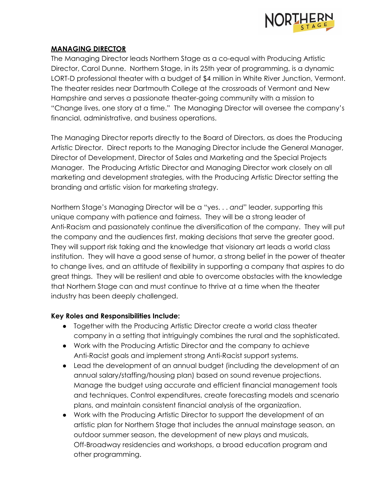

## **MANAGING DIRECTOR**

The Managing Director leads Northern Stage as a co-equal with Producing Artistic Director, Carol Dunne. Northern Stage, in its 25th year of programming, is a dynamic LORT-D professional theater with a budget of \$4 million in White River Junction, Vermont. The theater resides near Dartmouth College at the crossroads of Vermont and New Hampshire and serves a passionate theater-going community with a mission to "Change lives, one story at a time." The Managing Director will oversee the company's financial, administrative, and business operations.

The Managing Director reports directly to the Board of Directors, as does the Producing Artistic Director. Direct reports to the Managing Director include the General Manager, Director of Development, Director of Sales and Marketing and the Special Projects Manager. The Producing Artistic Director and Managing Director work closely on all marketing and development strategies, with the Producing Artistic Director setting the branding and artistic vision for marketing strategy.

Northern Stage's Managing Director will be a "yes. . . *and*" leader, supporting this unique company with patience and fairness. They will be a strong leader of Anti-Racism and passionately continue the diversification of the company. They will put the company and the audiences first, making decisions that serve the greater good. They will support risk taking and the knowledge that visionary art leads a world class institution. They will have a good sense of humor, a strong belief in the power of theater to change lives, and an attitude of flexibility in supporting a company that aspires to do great things. They will be resilient and able to overcome obstacles with the knowledge that Northern Stage can and must continue to thrive at a time when the theater industry has been deeply challenged.

## **Key Roles and Responsibilities Include:**

- Together with the Producing Artistic Director create a world class theater company in a setting that intriguingly combines the rural and the sophisticated.
- Work with the Producing Artistic Director and the company to achieve Anti-Racist goals and implement strong Anti-Racist support systems.
- Lead the development of an annual budget (including the development of an annual salary/staffing/housing plan) based on sound revenue projections. Manage the budget using accurate and efficient financial management tools and techniques. Control expenditures, create forecasting models and scenario plans, and maintain consistent financial analysis of the organization.
- Work with the Producing Artistic Director to support the development of an artistic plan for Northern Stage that includes the annual mainstage season, an outdoor summer season, the development of new plays and musicals, Off-Broadway residencies and workshops, a broad education program and other programming.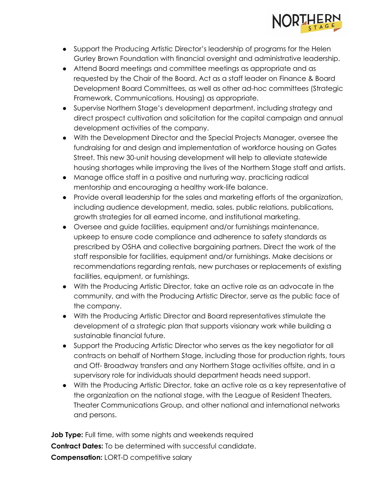

- Support the Producing Artistic Director's leadership of programs for the Helen Gurley Brown Foundation with financial oversight and administrative leadership.
- Attend Board meetings and committee meetings as appropriate and as requested by the Chair of the Board. Act as a staff leader on Finance & Board Development Board Committees, as well as other ad-hoc committees (Strategic Framework, Communications, Housing) as appropriate.
- Supervise Northern Stage's development department, including strategy and direct prospect cultivation and solicitation for the capital campaign and annual development activities of the company.
- With the Development Director and the Special Projects Manager, oversee the fundraising for and design and implementation of workforce housing on Gates Street. This new 30-unit housing development will help to alleviate statewide housing shortages while improving the lives of the Northern Stage staff and artists.
- Manage office staff in a positive and nurturing way, practicing radical mentorship and encouraging a healthy work-life balance.
- Provide overall leadership for the sales and marketing efforts of the organization, including audience development, media, sales, public relations, publications, growth strategies for all earned income, and institutional marketing.
- Oversee and guide facilities, equipment and/or furnishings maintenance, upkeep to ensure code compliance and adherence to safety standards as prescribed by OSHA and collective bargaining partners. Direct the work of the staff responsible for facilities, equipment and/or furnishings. Make decisions or recommendations regarding rentals, new purchases or replacements of existing facilities, equipment, or furnishings.
- With the Producing Artistic Director, take an active role as an advocate in the community, and with the Producing Artistic Director, serve as the public face of the company.
- With the Producing Artistic Director and Board representatives stimulate the development of a strategic plan that supports visionary work while building a sustainable financial future.
- Support the Producing Artistic Director who serves as the key negotiator for all contracts on behalf of Northern Stage, including those for production rights, tours and Off- Broadway transfers and any Northern Stage activities offsite, and in a supervisory role for individuals should department heads need support.
- With the Producing Artistic Director, take an active role as a key representative of the organization on the national stage, with the League of Resident Theaters, Theater Communications Group, and other national and international networks and persons.

**Job Type:** Full time, with some nights and weekends required **Contract Dates:** To be determined with successful candidate. **Compensation:** LORT-D competitive salary